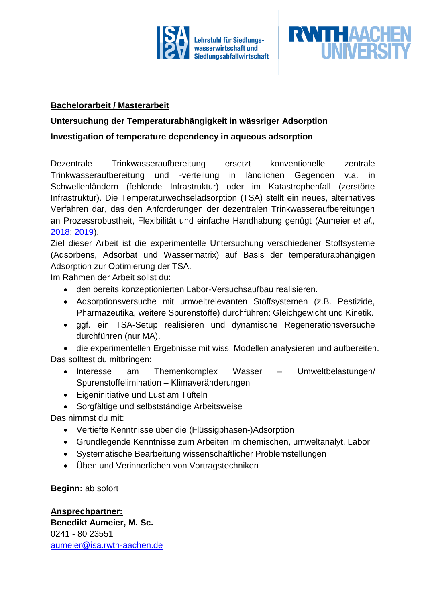



#### **Bachelorarbeit / Masterarbeit**

## **Untersuchung der Temperaturabhängigkeit in wässriger Adsorption**

### **Investigation of temperature dependency in aqueous adsorption**

Dezentrale Trinkwasseraufbereitung ersetzt konventionelle zentrale Trinkwasseraufbereitung und -verteilung in ländlichen Gegenden v.a. in Schwellenländern (fehlende Infrastruktur) oder im Katastrophenfall (zerstörte Infrastruktur). Die Temperaturwechseladsorption (TSA) stellt ein neues, alternatives Verfahren dar, das den Anforderungen der dezentralen Trinkwasseraufbereitungen an Prozessrobustheit, Flexibilität und einfache Handhabung genügt (Aumeier *et al.,* [2018;](https://pubs.acs.org/doi/abs/10.1021/acs.est.8b05873) [2019\)](https://www.sciencedirect.com/science/article/abs/pii/S0043135419311121).

Ziel dieser Arbeit ist die experimentelle Untersuchung verschiedener Stoffsysteme (Adsorbens, Adsorbat und Wassermatrix) auf Basis der temperaturabhängigen Adsorption zur Optimierung der TSA.

Im Rahmen der Arbeit sollst du:

- den bereits konzeptionierten Labor-Versuchsaufbau realisieren.
- Adsorptionsversuche mit umweltrelevanten Stoffsystemen (z.B. Pestizide, Pharmazeutika, weitere Spurenstoffe) durchführen: Gleichgewicht und Kinetik.
- ggf. ein TSA-Setup realisieren und dynamische Regenerationsversuche durchführen (nur MA).

• die experimentellen Ergebnisse mit wiss. Modellen analysieren und aufbereiten. Das solltest du mitbringen:

- Interesse am Themenkomplex Wasser Umweltbelastungen/ Spurenstoffelimination – Klimaveränderungen
- Eigeninitiative und Lust am Tüfteln

• Sorgfältige und selbstständige Arbeitsweise

Das nimmst du mit:

- Vertiefte Kenntnisse über die (Flüssigphasen-)Adsorption
- Grundlegende Kenntnisse zum Arbeiten im chemischen, umweltanalyt. Labor
- Systematische Bearbeitung wissenschaftlicher Problemstellungen
- Üben und Verinnerlichen von Vortragstechniken

**Beginn:** ab sofort

**Ansprechpartner: Benedikt Aumeier, M. Sc.** 0241 - 80 23551 [aumeier@isa.rwth-aachen.de](mailto:aumeier@isa.rwth-aachen.de)